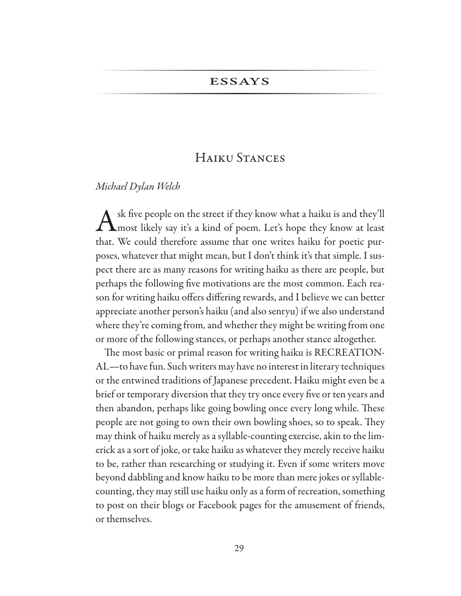## **ESSAYS**

## HAIKU STANCES

## Michael Dylan Welch

sk five people on the street if they know what a haiku is and they'll **L**most likely say it's a kind of poem. Let's hope they know at least that. We could therefore assume that one writes haiku for poetic purposes, whatever that might mean, but I don't think it's that simple. I suspect there are as many reasons for writing haiku as there are people, but perhaps the following five motivations are the most common. Each reason for writing haiku offers differing rewards, and I believe we can better appreciate another person's haiku (and also senryu) if we also understand where they're coming from, and whether they might be writing from one or more of the following stances, or perhaps another stance altogether.

The most basic or primal reason for writing haiku is RECREATION-AL-to have fun. Such writers may have no interest in literary techniques or the entwined traditions of Japanese precedent. Haiku might even be a brief or temporary diversion that they try once every five or ten years and then abandon, perhaps like going bowling once every long while. These people are not going to own their own bowling shoes, so to speak. They may think of haiku merely as a syllable-counting exercise, akin to the limerick as a sort of joke, or take haiku as whatever they merely receive haiku to be, rather than researching or studying it. Even if some writers move beyond dabbling and know haiku to be more than mere jokes or syllablecounting, they may still use haiku only as a form of recreation, something to post on their blogs or Facebook pages for the amusement of friends, or themselves.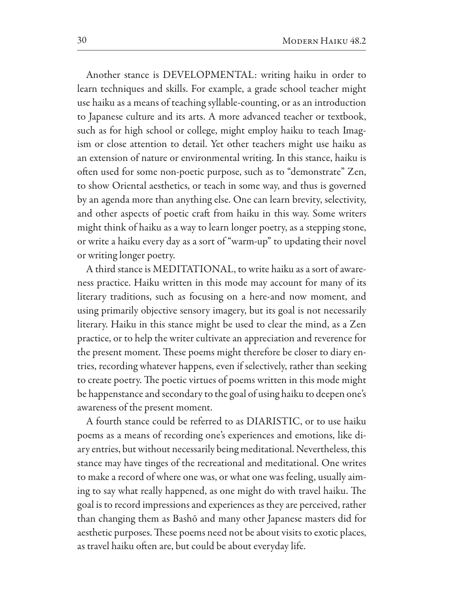Another stance is DEVELOPMENTAL: writing haiku in order to learn techniques and skills. For example, a grade school teacher might use haiku as a means of teaching syllable-counting, or as an introduction to Japanese culture and its arts. A more advanced teacher or textbook, such as for high school or college, might employ haiku to teach Imagism or close attention to detail. Yet other teachers might use haiku as an extension of nature or environmental writing. In this stance, haiku is often used for some non-poetic purpose, such as to "demonstrate" Zen, to show Oriental aesthetics, or teach in some way, and thus is governed by an agenda more than anything else. One can learn brevity, selectivity, and other aspects of poetic craft from haiku in this way. Some writers might think of haiku as a way to learn longer poetry, as a stepping stone, or write a haiku every day as a sort of "warm-up" to updating their novel or writing longer poetry.

A third stance is MEDITATIONAL, to write haiku as a sort of awareness practice. Haiku written in this mode may account for many of its literary traditions, such as focusing on a here-and now moment, and using primarily objective sensory imagery, but its goal is not necessarily literary. Haiku in this stance might be used to clear the mind, as a Zen practice, or to help the writer cultivate an appreciation and reverence for the present moment. These poems might therefore be closer to diary entries, recording whatever happens, even if selectively, rather than seeking to create poetry. The poetic virtues of poems written in this mode might be happenstance and secondary to the goal of using haiku to deepen one's awareness of the present moment.

A fourth stance could be referred to as DIARISTIC, or to use haiku poems as a means of recording one's experiences and emotions, like diary entries, but without necessarily being meditational. Nevertheless, this stance may have tinges of the recreational and meditational. One writes to make a record of where one was, or what one was feeling, usually aiming to say what really happened, as one might do with travel haiku. The goal is to record impressions and experiences as they are perceived, rather than changing them as Bashō and many other Japanese masters did for aesthetic purposes. These poems need not be about visits to exotic places, as travel haiku often are, but could be about everyday life.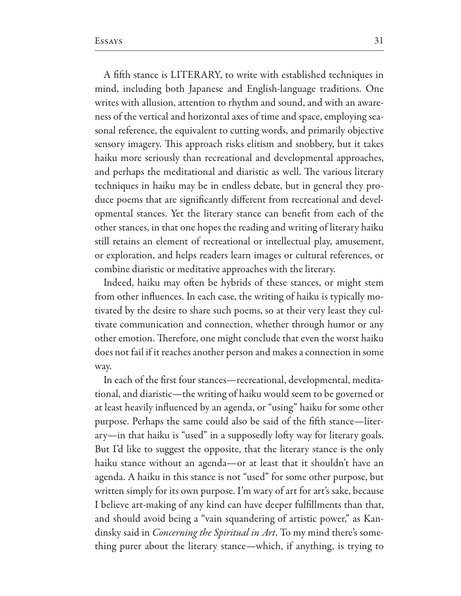A fifth stance is LITERARY, to write with established techniques in mind, including both Japanese and English-language traditions. One writes with allusion, attention to rhythm and sound, and with an awareness of the vertical and horizontal axes of time and space, employing seasonal reference, the equivalent to cutting words, and primarily objective sensory imagery. This approach risks elitism and snobbery, but it takes haiku more seriously than recreational and developmental approaches, and perhaps the meditational and diaristic as well. The various literary techniques in haiku may be in endless debate, but in general they produce poems that are significantly different from recreational and developmental stances. Yet the literary stance can benefit from each of the other stances, in that one hopes the reading and writing of literary haiku still retains an element of recreational or intellectual play, amusement, or exploration, and helps readers learn images or cultural references, or combine diaristic or meditative approaches with the literary.

Indeed, haiku may often be hybrids of these stances, or might stem from other influences. In each case, the writing of haiku is typically motivated by the desire to share such poems, so at their very least they cultivate communication and connection, whether through humor or any other emotion. Therefore, one might conclude that even the worst haiku does not fail if it reaches another person and makes a connection in some way.

In each of the first four stances—recreational, developmental, meditational, and diaristic-the writing of haiku would seem to be governed or at least heavily influenced by an agenda, or "using" haiku for some other purpose. Perhaps the same could also be said of the fifth stance—literary-in that haiku is "used" in a supposedly lofty way for literary goals. But I'd like to suggest the opposite, that the literary stance is the only haiku stance without an agenda—or at least that it shouldn't have an agenda. A haiku in this stance is not "used" for some other purpose, but written simply for its own purpose. I'm wary of art for art's sake, because I believe art-making of any kind can have deeper fulfillments than that, and should avoid being a "vain squandering of artistic power," as Kandinsky said in *Concerning the Spiritual in Art*. To my mind there's something purer about the literary stance—which, if anything, is trying to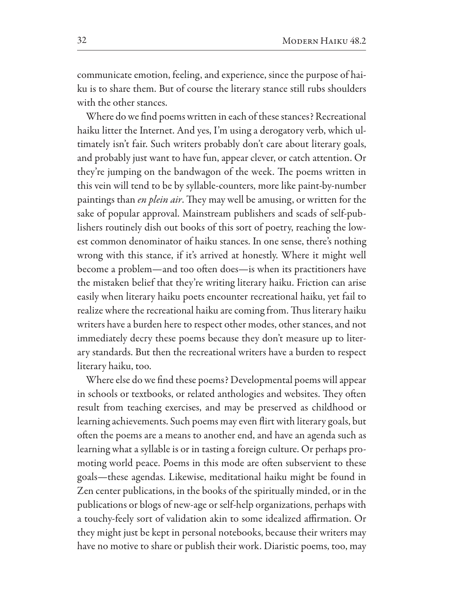communicate emotion, feeling, and experience, since the purpose of haiku is to share them. But of course the literary stance still rubs shoulders with the other stances.

Where do we find poems written in each of these stances? Recreational haiku litter the Internet. And yes, I'm using a derogatory verb, which ultimately isn't fair. Such writers probably don't care about literary goals, and probably just want to have fun, appear clever, or catch attention. Or they're jumping on the bandwagon of the week. The poems written in this vein will tend to be by syllable-counters, more like paint-by-number paintings than en plein air. They may well be amusing, or written for the sake of popular approval. Mainstream publishers and scads of self-publishers routinely dish out books of this sort of poetry, reaching the lowest common denominator of haiku stances. In one sense, there's nothing wrong with this stance, if it's arrived at honestly. Where it might well become a problem—and too often does—is when its practitioners have the mistaken belief that they're writing literary haiku. Friction can arise easily when literary haiku poets encounter recreational haiku, yet fail to realize where the recreational haiku are coming from. Thus literary haiku writers have a burden here to respect other modes, other stances, and not immediately decry these poems because they don't measure up to literary standards. But then the recreational writers have a burden to respect literary haiku, too.

Where else do we find these poems? Developmental poems will appear in schools or textbooks, or related anthologies and websites. They often result from teaching exercises, and may be preserved as childhood or learning achievements. Such poems may even flirt with literary goals, but often the poems are a means to another end, and have an agenda such as learning what a syllable is or in tasting a foreign culture. Or perhaps promoting world peace. Poems in this mode are often subservient to these goals—these agendas. Likewise, meditational haiku might be found in Zen center publications, in the books of the spiritually minded, or in the publications or blogs of new-age or self-help organizations, perhaps with a touchy-feely sort of validation akin to some idealized affirmation. Or they might just be kept in personal notebooks, because their writers may have no motive to share or publish their work. Diaristic poems, too, may